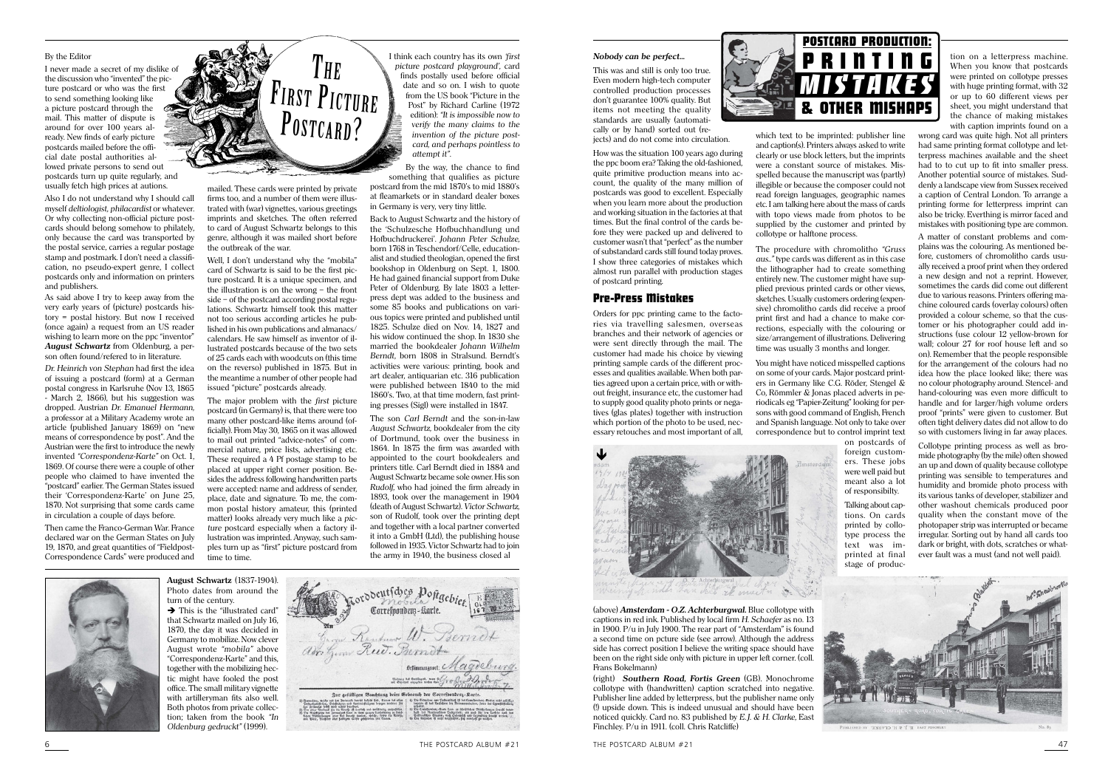## By the Editor

I never made a secret of my dislike of the discussion who "invented" the picture postcard or who was the first to send something looking like a picture postcard through the mail. This matter of dispute is around for over 100 years already. New finds of early picture postcards mailed before the official date postal authorities allowed private persons to send out postcards turn up quite regularly, and usually fetch high prices at autions.

Also I do not understand why I should call myself deltiologist, philacardist or whatever. Or why collecting non-official picture postcards should belong somehow to philately, only because the card was transported by the postal service, carries a regular postage stamp and postmark. I don't need a classification, no pseudo-expert genre, I collect postcards only and information on printers and publishers.

As said above I try to keep away from the very early years of (picture) postcards history = postal history. But now I received (once again) a request from an US reader wishing to learn more on the ppc "inventor" **August Schwartz** from Oldenburg, a person often found/refered to in literature.

Dr. Heinrich von Stephan had first the idea of issuing a postcard (form) at a German postal congress in Karlsruhe (Nov 13, 1865 - March 2, 1866), but his suggestion was dropped. Austrian Dr. Emanuel Hermann, a professor at a Military Academy wrote an article (published January 1869) on "new means of correspondence by post". And the Austrian were the first to introduce the newly invented "Correspondenz-Karte" on Oct. 1, 1869. Of course there were a couple of other people who claimed to have invented the "postcard" earlier. The German States issued their 'Correspondenz-Karte' on June 25, 1870. Not surprising that some cards came in circulation a couple of days before.

Then came the Franco-German War. France declared war on the German States on July 19, 1870, and great quantities of "Fieldpost-Correspondence Cards" were produced and



mailed. These cards were printed by private firms too, and a number of them were illustrated with (war) vignettes, various greetings imprints and sketches. The often referred to card of August Schwartz belongs to this genre, although it was mailed short before the outbreak of the war.

Well, I don't understand why the "mobila" card of Schwartz is said to be the first picture postcard. It is a unique specimen, and the illustration is on the wrong  $-$  the front side - of the postcard according postal regulations. Schwartz himself took this matter not too serious according articles he published in his own publications and almanacs/ calendars. He saw himself as inventor of illustrated postcards because of the two sets of 25 cards each with woodcuts on (this time on the reverso) published in 1875. But in the meantime a number of other people had issued "picture" postcards already.

The major problem with the first picture postcard (in Germany) is, that there were too many other postcard-like items around (officially). From May 30, 1865 on it was allowed to mail out printed "advice-notes" of commercial nature, price lists, advertising etc. These required a 4 Pf postage stamp to be placed at upper right corner position. Besides the address following handwritten parts were accepted: name and address of sender, place, date and signature. To me, the common postal history amateur, this (printed matter) looks already very much like a picture postcard especially when a factory illustration was imprinted. Anyway, such samples turn up as "first" picture postcard from time to time

I think each country has its own first picture postcard playground', card finds postally used before official date and so on. I wish to quote from the US book "Picture in the Post" by Richard Carline (1972 edition): "It is impossible now to verify the many claims to the invention of the picture postcard, and perhaps pointless to attempt it".

By the way, the chance to find something that qualifies as picture postcard from the mid 1870's to mid 1880's at fleamarkets or in standard dealer boxes in Germany is very, very tiny little.

Back to August Schwartz and the history of the 'Schulzesche Hofbuchhandlung und Hofbuchdruckerei'. Johann Peter Schulze, born 1768 in Teschendorf/Celle, educationalist and studied theologian, opened the first bookshop in Oldenburg on Sept. 1, 1800. He had gained financial support from Duke Peter of Oldenburg. By late 1803 a letterpress dept was added to the business and some 85 books and publications on various topics were printed and published until 1825. Schulze died on Nov. 14, 1827 and his widow continued the shop. In 1830 she married the bookdealer Johann Wilhelm Berndt, born 1808 in Stralsund. Berndt's activities were various: printing, book and art dealer, antiquarian etc. 316 publication were published between 1840 to the mid 1860's. Two, at that time modern, fast printing presses (Sigl) were installed in 1847.

The son Carl Berndt and the son-in-law August Schwartz, bookdealer from the city of Dortmund, took over the business in 1864. In 1875 the firm was awarded with appointed to the court bookdealers and printers title. Carl Berndt died in 1884 and August Schwartz became sole owner. His son Rudolf, who had joined the firm already in 1893, took over the management in 1904 (death of August Schwartz). Victor Schwartz. son of Rudolf, took over the printing dept and together with a local partner converted it into a GmbH (Ltd), the publishing house followed in 1935. Victor Schwartz had to join the army in 1940, the business closed al



August Schwartz (1837-1904). Photo dates from around the turn of the century.

 $\rightarrow$  This is the "illustrated card" that Schwartz mailed on July 16. 1870, the day it was decided in Germany to mobilize. Now clever August wrote "mobila" above "Correspondenz-Karte" and this. together with the mobilizing hectic might have fooled the post office. The small military vignette with artilleryman fits also well. Both photos from private collection; taken from the book "In Oldenburg gedruckt" (1999).